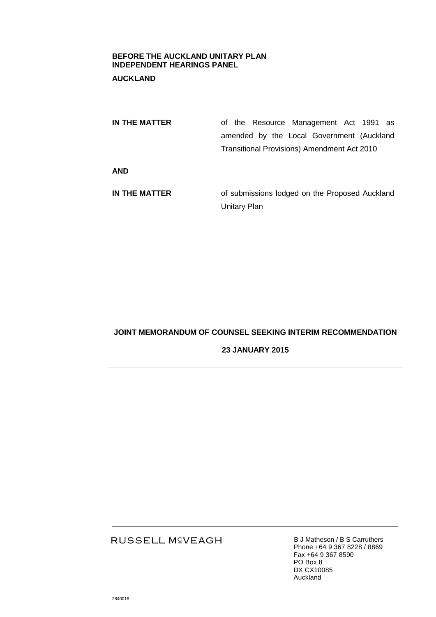## **BEFORE THE AUCKLAND UNITARY PLAN INDEPENDENT HEARINGS PANEL**

# **AUCKLAND**

| IN THE MATTER | of the Resource Management Act 1991 as             |
|---------------|----------------------------------------------------|
|               | amended by the Local Government (Auckland          |
|               | <b>Transitional Provisions) Amendment Act 2010</b> |
| <b>AND</b>    |                                                    |
| IN THE MATTER | of submissions lodged on the Proposed Auckland     |
|               | <b>Unitary Plan</b>                                |

# **JOINT MEMORANDUM OF COUNSEL SEEKING INTERIM RECOMMENDATION**

## **23 JANUARY 2015**

# RUSSELL M<sup>C</sup>VEAGH

B J Matheson / B S Carruthers Phone +64 9 367 8228 / 8869 Fax +64 9 367 8590 PO Box 8 DX CX10085 Auckland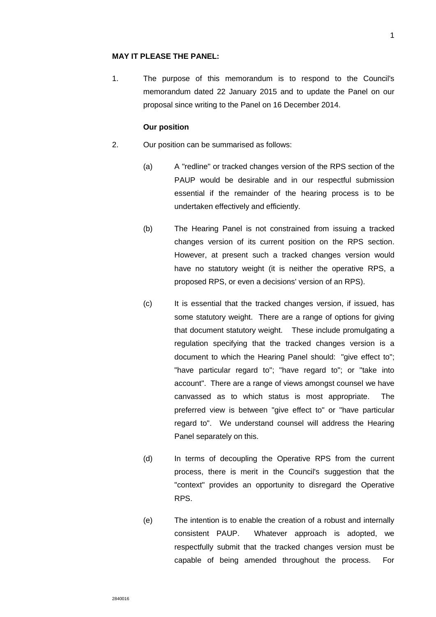### **MAY IT PLEASE THE PANEL:**

1. The purpose of this memorandum is to respond to the Council's memorandum dated 22 January 2015 and to update the Panel on our proposal since writing to the Panel on 16 December 2014.

#### **Our position**

- 2. Our position can be summarised as follows:
	- (a) A "redline" or tracked changes version of the RPS section of the PAUP would be desirable and in our respectful submission essential if the remainder of the hearing process is to be undertaken effectively and efficiently.
	- (b) The Hearing Panel is not constrained from issuing a tracked changes version of its current position on the RPS section. However, at present such a tracked changes version would have no statutory weight (it is neither the operative RPS, a proposed RPS, or even a decisions' version of an RPS).
	- (c) It is essential that the tracked changes version, if issued, has some statutory weight. There are a range of options for giving that document statutory weight. These include promulgating a regulation specifying that the tracked changes version is a document to which the Hearing Panel should: "give effect to"; "have particular regard to"; "have regard to"; or "take into account". There are a range of views amongst counsel we have canvassed as to which status is most appropriate. The preferred view is between "give effect to" or "have particular regard to". We understand counsel will address the Hearing Panel separately on this.
	- (d) In terms of decoupling the Operative RPS from the current process, there is merit in the Council's suggestion that the "context" provides an opportunity to disregard the Operative RPS.
	- (e) The intention is to enable the creation of a robust and internally consistent PAUP. Whatever approach is adopted, we respectfully submit that the tracked changes version must be capable of being amended throughout the process. For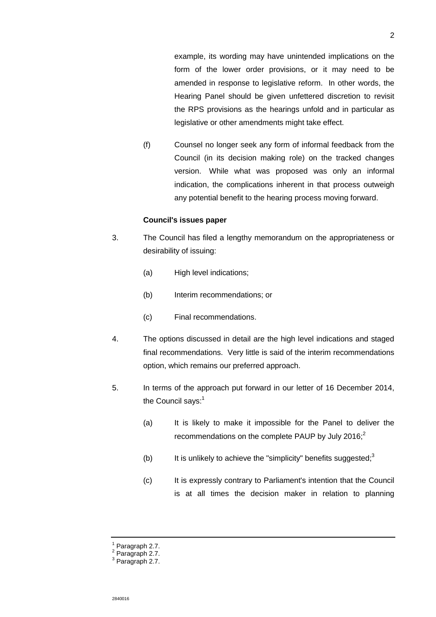example, its wording may have unintended implications on the form of the lower order provisions, or it may need to be amended in response to legislative reform. In other words, the Hearing Panel should be given unfettered discretion to revisit the RPS provisions as the hearings unfold and in particular as legislative or other amendments might take effect.

(f) Counsel no longer seek any form of informal feedback from the Council (in its decision making role) on the tracked changes version. While what was proposed was only an informal indication, the complications inherent in that process outweigh any potential benefit to the hearing process moving forward.

## **Council's issues paper**

- 3. The Council has filed a lengthy memorandum on the appropriateness or desirability of issuing:
	- (a) High level indications;
	- (b) Interim recommendations; or
	- (c) Final recommendations.
- 4. The options discussed in detail are the high level indications and staged final recommendations. Very little is said of the interim recommendations option, which remains our preferred approach.
- 5. In terms of the approach put forward in our letter of 16 December 2014, the Council says: $1$ 
	- (a) It is likely to make it impossible for the Panel to deliver the recommendations on the complete PAUP by July 2016; $^{2}$
	- (b) It is unlikely to achieve the "simplicity" benefits suggested; $3$
	- (c) It is expressly contrary to Parliament's intention that the Council is at all times the decision maker in relation to planning

 $1$  Paragraph 2.7.

<sup>2</sup> Paragraph 2.7.

<sup>3</sup> Paragraph 2.7.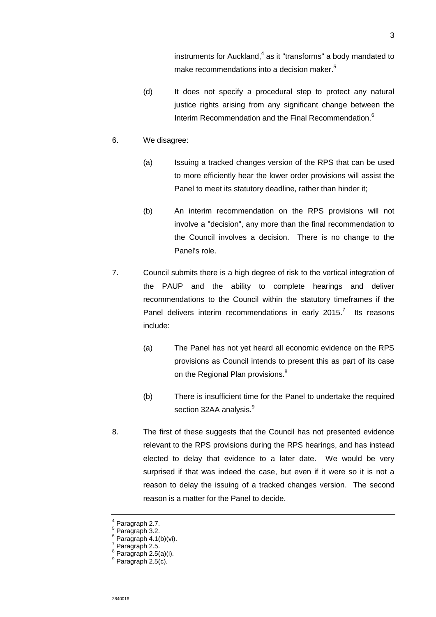instruments for Auckland,<sup>4</sup> as it "transforms" a body mandated to make recommendations into a decision maker.<sup>5</sup>

- (d) It does not specify a procedural step to protect any natural justice rights arising from any significant change between the Interim Recommendation and the Final Recommendation.<sup>6</sup>
- 6. We disagree:
	- (a) Issuing a tracked changes version of the RPS that can be used to more efficiently hear the lower order provisions will assist the Panel to meet its statutory deadline, rather than hinder it;
	- (b) An interim recommendation on the RPS provisions will not involve a "decision", any more than the final recommendation to the Council involves a decision. There is no change to the Panel's role.
- 7. Council submits there is a high degree of risk to the vertical integration of the PAUP and the ability to complete hearings and deliver recommendations to the Council within the statutory timeframes if the Panel delivers interim recommendations in early 2015.<sup>7</sup> Its reasons include:
	- (a) The Panel has not yet heard all economic evidence on the RPS provisions as Council intends to present this as part of its case on the Regional Plan provisions.<sup>8</sup>
	- (b) There is insufficient time for the Panel to undertake the required section 32AA analysis.<sup>9</sup>
- 8. The first of these suggests that the Council has not presented evidence relevant to the RPS provisions during the RPS hearings, and has instead elected to delay that evidence to a later date. We would be very surprised if that was indeed the case, but even if it were so it is not a reason to delay the issuing of a tracked changes version. The second reason is a matter for the Panel to decide.

3

<sup>4</sup> Paragraph 2.7.

<sup>5</sup> Paragraph 3.2. 6

Paragraph 4.1(b)(vi). 7

Paragraph 2.5.

 $8$  Paragraph 2.5(a)(i).  $9$  Paragraph 2.5(c).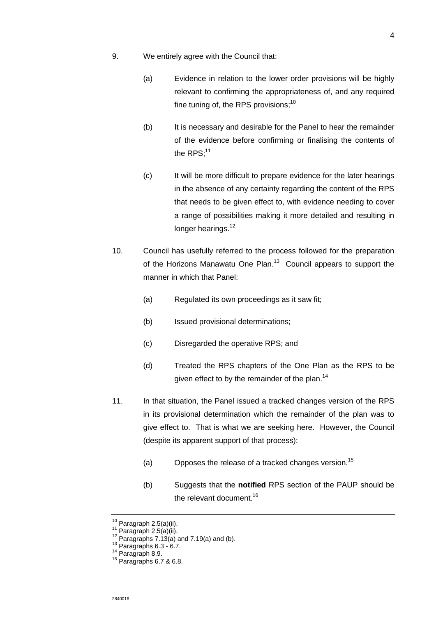- 9. We entirely agree with the Council that:
	- (a) Evidence in relation to the lower order provisions will be highly relevant to confirming the appropriateness of, and any required fine tuning of, the RPS provisions; $10$
	- (b) It is necessary and desirable for the Panel to hear the remainder of the evidence before confirming or finalising the contents of the  $RPS$ ;<sup>11</sup>
	- (c) It will be more difficult to prepare evidence for the later hearings in the absence of any certainty regarding the content of the RPS that needs to be given effect to, with evidence needing to cover a range of possibilities making it more detailed and resulting in longer hearings.<sup>12</sup>
- 10. Council has usefully referred to the process followed for the preparation of the Horizons Manawatu One Plan.<sup>13</sup> Council appears to support the manner in which that Panel:
	- (a) Regulated its own proceedings as it saw fit;
	- (b) Issued provisional determinations;
	- (c) Disregarded the operative RPS; and
	- (d) Treated the RPS chapters of the One Plan as the RPS to be given effect to by the remainder of the plan.<sup>14</sup>
- 11. In that situation, the Panel issued a tracked changes version of the RPS in its provisional determination which the remainder of the plan was to give effect to. That is what we are seeking here. However, the Council (despite its apparent support of that process):
	- (a) Opposes the release of a tracked changes version.<sup>15</sup>
	- (b) Suggests that the **notified** RPS section of the PAUP should be the relevant document.<sup>16</sup>

 $^{10}$  Paragraph 2.5(a)(ii).

 $11$  Paragraph 2.5(a)(ii).

 $12$  Paragraphs 7.13(a) and 7.19(a) and (b).

 $^{13}$  Paragraphs 6.3 - 6.7.

<sup>14</sup> Paragraph 8.9.

<sup>15</sup> Paragraphs 6.7 & 6.8.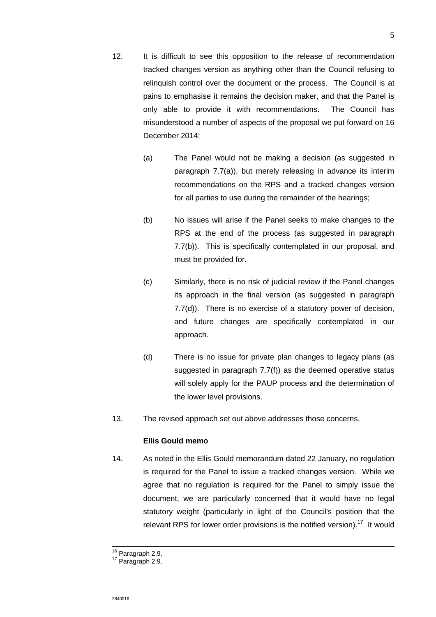- 12. It is difficult to see this opposition to the release of recommendation tracked changes version as anything other than the Council refusing to relinquish control over the document or the process. The Council is at pains to emphasise it remains the decision maker, and that the Panel is only able to provide it with recommendations. The Council has misunderstood a number of aspects of the proposal we put forward on 16
	- (a) The Panel would not be making a decision (as suggested in paragraph 7.7(a)), but merely releasing in advance its interim recommendations on the RPS and a tracked changes version for all parties to use during the remainder of the hearings;
	- (b) No issues will arise if the Panel seeks to make changes to the RPS at the end of the process (as suggested in paragraph 7.7(b)). This is specifically contemplated in our proposal, and must be provided for.
	- (c) Similarly, there is no risk of judicial review if the Panel changes its approach in the final version (as suggested in paragraph 7.7(d)). There is no exercise of a statutory power of decision, and future changes are specifically contemplated in our approach.
	- (d) There is no issue for private plan changes to legacy plans (as suggested in paragraph 7.7(f)) as the deemed operative status will solely apply for the PAUP process and the determination of the lower level provisions.
- 13. The revised approach set out above addresses those concerns.

# **Ellis Gould memo**

December 2014:

14. As noted in the Ellis Gould memorandum dated 22 January, no regulation is required for the Panel to issue a tracked changes version. While we agree that no regulation is required for the Panel to simply issue the document, we are particularly concerned that it would have no legal statutory weight (particularly in light of the Council's position that the relevant RPS for lower order provisions is the notified version).<sup>17</sup> It would

 $\overline{a}$ 

<sup>&</sup>lt;sup>16</sup> Paragraph 2.9.

<sup>&</sup>lt;sup>17</sup> Paragraph 2.9.